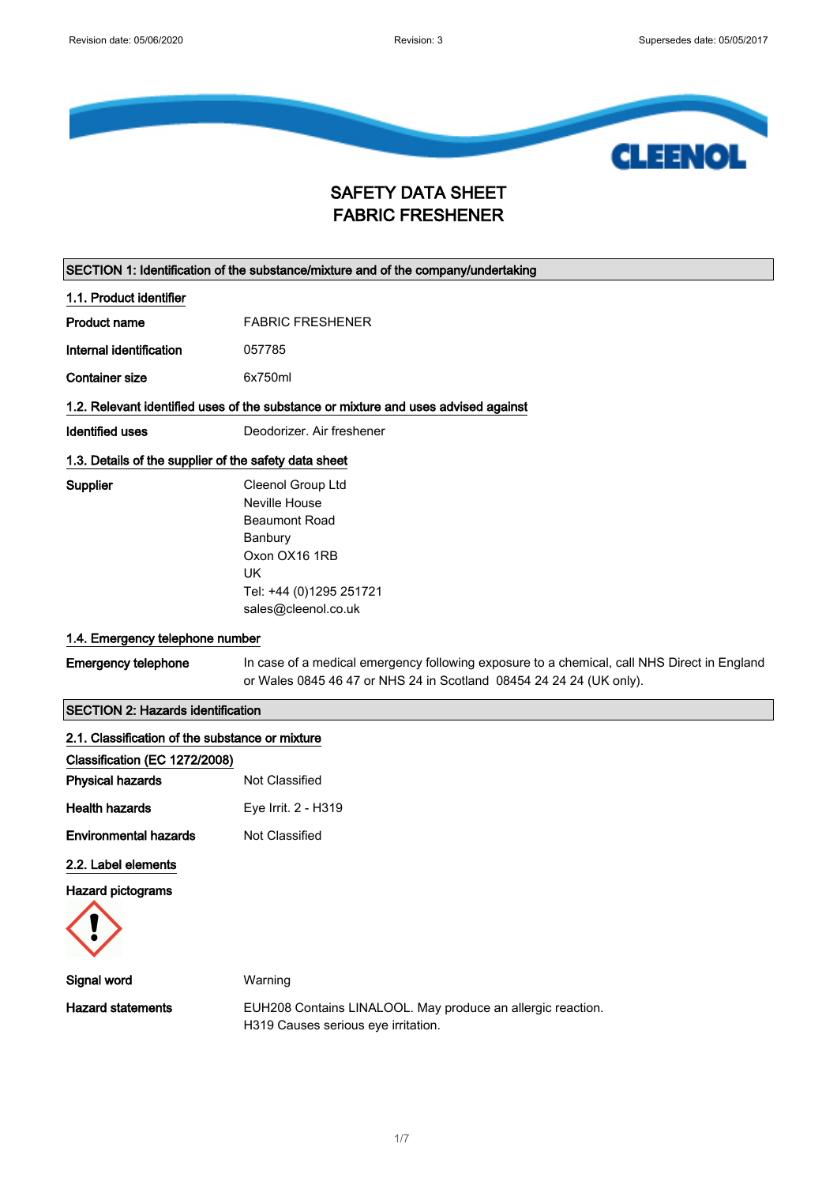

### SAFETY DATA SHEET FABRIC FRESHENER

| SECTION 1: Identification of the substance/mixture and of the company/undertaking |                                                                                                                                                                    |
|-----------------------------------------------------------------------------------|--------------------------------------------------------------------------------------------------------------------------------------------------------------------|
| 1.1. Product identifier                                                           |                                                                                                                                                                    |
| Product name                                                                      | <b>FABRIC FRESHENER</b>                                                                                                                                            |
| Internal identification                                                           | 057785                                                                                                                                                             |
| <b>Container size</b>                                                             | 6x750ml                                                                                                                                                            |
|                                                                                   | 1.2. Relevant identified uses of the substance or mixture and uses advised against                                                                                 |
| <b>Identified uses</b>                                                            | Deodorizer. Air freshener                                                                                                                                          |
| 1.3. Details of the supplier of the safety data sheet                             |                                                                                                                                                                    |
| Supplier                                                                          | Cleenol Group Ltd<br>Neville House<br><b>Beaumont Road</b><br>Banbury<br>Oxon OX16 1RB<br><b>UK</b><br>Tel: +44 (0)1295 251721<br>sales@cleenol.co.uk              |
| 1.4. Emergency telephone number                                                   |                                                                                                                                                                    |
| <b>Emergency telephone</b>                                                        | In case of a medical emergency following exposure to a chemical, call NHS Direct in England<br>or Wales 0845 46 47 or NHS 24 in Scotland 08454 24 24 24 (UK only). |
| <b>SECTION 2: Hazards identification</b>                                          |                                                                                                                                                                    |
| 2.1. Classification of the substance or mixture                                   |                                                                                                                                                                    |
| Classification (EC 1272/2008)                                                     |                                                                                                                                                                    |
| <b>Physical hazards</b>                                                           | Not Classified                                                                                                                                                     |
| <b>Health hazards</b>                                                             | Eye Irrit. 2 - H319                                                                                                                                                |
| <b>Environmental hazards</b>                                                      | Not Classified                                                                                                                                                     |
| 2.2. Label elements                                                               |                                                                                                                                                                    |
| <b>Hazard pictograms</b>                                                          |                                                                                                                                                                    |



| Signal word              | Warning                       |
|--------------------------|-------------------------------|
| <b>Hazard statements</b> | <b>EUH208 Contains LINALO</b> |
|                          |                               |

Hazard statements EUH208 Contains LINALOOL. May produce an allergic reaction. H319 Causes serious eye irritation.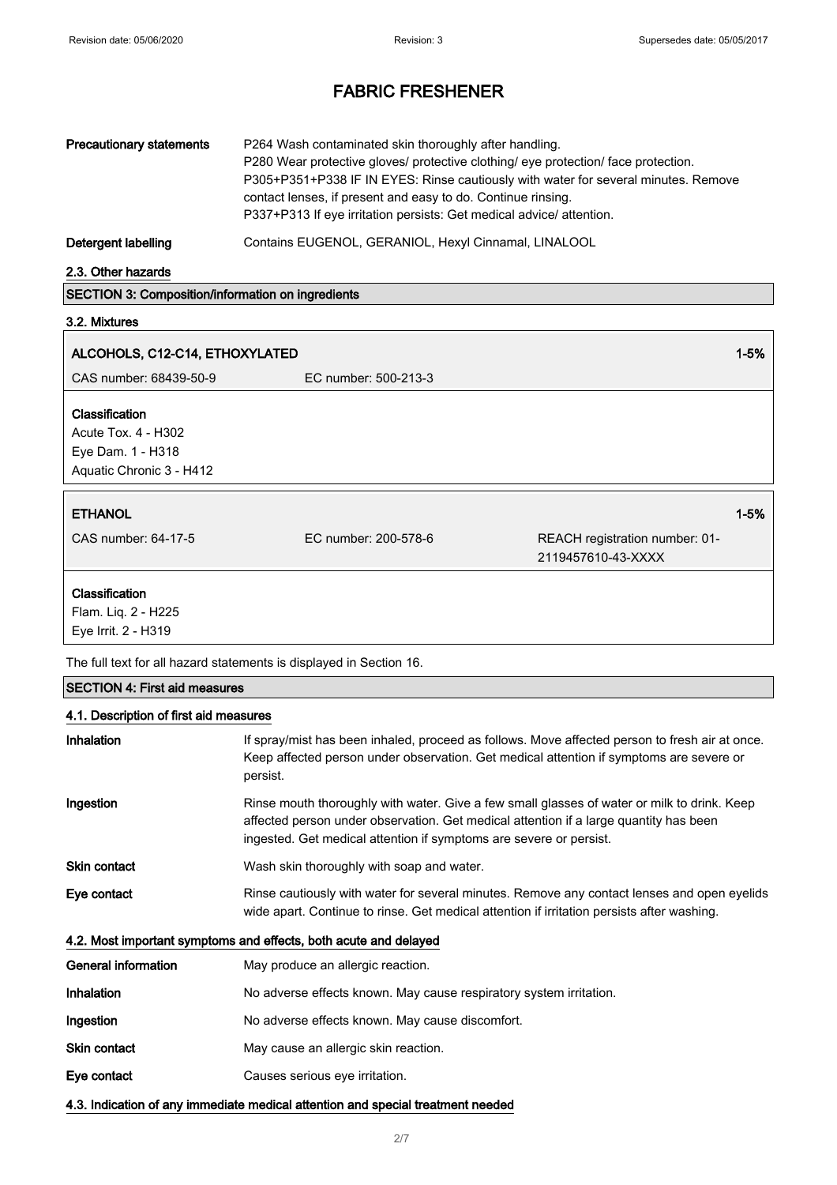| <b>Precautionary statements</b> | P264 Wash contaminated skin thoroughly after handling.<br>P280 Wear protective gloves/ protective clothing/ eye protection/ face protection.<br>P305+P351+P338 IF IN EYES: Rinse cautiously with water for several minutes. Remove<br>contact lenses, if present and easy to do. Continue rinsing.<br>P337+P313 If eye irritation persists: Get medical advice/attention. |
|---------------------------------|---------------------------------------------------------------------------------------------------------------------------------------------------------------------------------------------------------------------------------------------------------------------------------------------------------------------------------------------------------------------------|
| Detergent labelling             | Contains EUGENOL, GERANIOL, Hexyl Cinnamal, LINALOOL                                                                                                                                                                                                                                                                                                                      |

2.3. Other hazards

SECTION 3: Composition/information on ingredients

#### 3.2. Mixtures

| ALCOHOLS, C12-C14, ETHOXYLATED                                                                |                      |                                                      | $1 - 5%$ |
|-----------------------------------------------------------------------------------------------|----------------------|------------------------------------------------------|----------|
| CAS number: 68439-50-9                                                                        | EC number: 500-213-3 |                                                      |          |
| <b>Classification</b><br>Acute Tox. 4 - H302<br>Eye Dam. 1 - H318<br>Aquatic Chronic 3 - H412 |                      |                                                      |          |
| <b>ETHANOL</b><br>CAS number: 64-17-5                                                         | EC number: 200-578-6 | REACH registration number: 01-<br>2119457610-43-XXXX | $1 - 5%$ |
| <b>Classification</b><br>Flam. Liq. 2 - H225<br>Eye Irrit. 2 - H319                           |                      |                                                      |          |

The full text for all hazard statements is displayed in Section 16.

#### SECTION 4: First aid measures

### 4.1. Description of first aid measures

| <b>Inhalation</b>          | If spray/mist has been inhaled, proceed as follows. Move affected person to fresh air at once.<br>Keep affected person under observation. Get medical attention if symptoms are severe or<br>persist.                                                      |
|----------------------------|------------------------------------------------------------------------------------------------------------------------------------------------------------------------------------------------------------------------------------------------------------|
| Ingestion                  | Rinse mouth thoroughly with water. Give a few small glasses of water or milk to drink. Keep<br>affected person under observation. Get medical attention if a large quantity has been<br>ingested. Get medical attention if symptoms are severe or persist. |
| Skin contact               | Wash skin thoroughly with soap and water.                                                                                                                                                                                                                  |
| Eye contact                | Rinse cautiously with water for several minutes. Remove any contact lenses and open eyelids<br>wide apart. Continue to rinse. Get medical attention if irritation persists after washing.                                                                  |
|                            | 4.2. Most important symptoms and effects, both acute and delayed                                                                                                                                                                                           |
| <b>General information</b> | May produce an allergic reaction.                                                                                                                                                                                                                          |
| <b>Inhalation</b>          | No adverse effects known. May cause respiratory system irritation.                                                                                                                                                                                         |
| Ingestion                  | No adverse effects known. May cause discomfort.                                                                                                                                                                                                            |
| Skin contact               | May cause an allergic skin reaction.                                                                                                                                                                                                                       |
| Eye contact                | Causes serious eye irritation.                                                                                                                                                                                                                             |
|                            | 4.3. Indication of any immediate medical attention and special treatment needed                                                                                                                                                                            |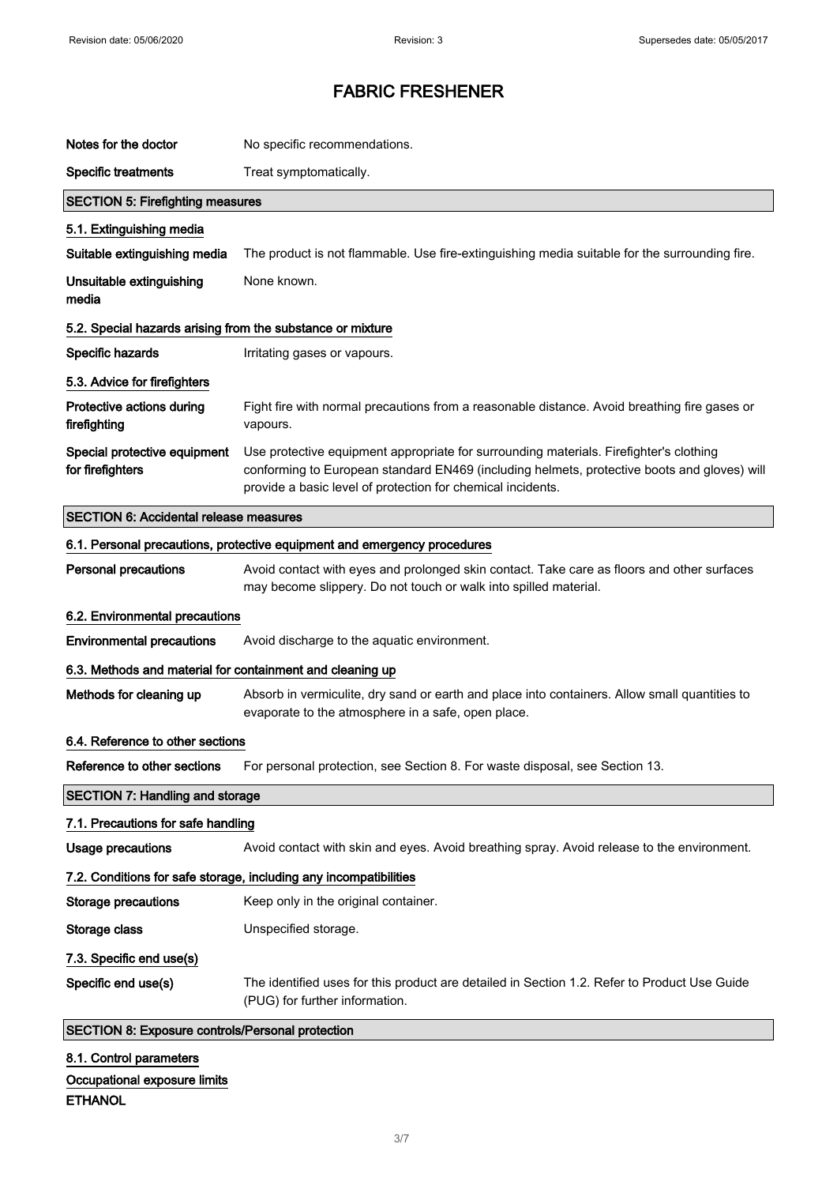| Notes for the doctor                                       | No specific recommendations.                                                                                                                                                                                                                         |
|------------------------------------------------------------|------------------------------------------------------------------------------------------------------------------------------------------------------------------------------------------------------------------------------------------------------|
| <b>Specific treatments</b>                                 | Treat symptomatically.                                                                                                                                                                                                                               |
| <b>SECTION 5: Firefighting measures</b>                    |                                                                                                                                                                                                                                                      |
| 5.1. Extinguishing media                                   |                                                                                                                                                                                                                                                      |
| Suitable extinguishing media                               | The product is not flammable. Use fire-extinguishing media suitable for the surrounding fire.                                                                                                                                                        |
| Unsuitable extinguishing<br>media                          | None known.                                                                                                                                                                                                                                          |
| 5.2. Special hazards arising from the substance or mixture |                                                                                                                                                                                                                                                      |
| Specific hazards                                           | Irritating gases or vapours.                                                                                                                                                                                                                         |
| 5.3. Advice for firefighters                               |                                                                                                                                                                                                                                                      |
| Protective actions during<br>firefighting                  | Fight fire with normal precautions from a reasonable distance. Avoid breathing fire gases or<br>vapours.                                                                                                                                             |
| Special protective equipment<br>for firefighters           | Use protective equipment appropriate for surrounding materials. Firefighter's clothing<br>conforming to European standard EN469 (including helmets, protective boots and gloves) will<br>provide a basic level of protection for chemical incidents. |
| <b>SECTION 6: Accidental release measures</b>              |                                                                                                                                                                                                                                                      |
|                                                            | 6.1. Personal precautions, protective equipment and emergency procedures                                                                                                                                                                             |
| <b>Personal precautions</b>                                | Avoid contact with eyes and prolonged skin contact. Take care as floors and other surfaces<br>may become slippery. Do not touch or walk into spilled material.                                                                                       |
| 6.2. Environmental precautions                             |                                                                                                                                                                                                                                                      |
| <b>Environmental precautions</b>                           | Avoid discharge to the aquatic environment.                                                                                                                                                                                                          |
|                                                            |                                                                                                                                                                                                                                                      |
| 6.3. Methods and material for containment and cleaning up  |                                                                                                                                                                                                                                                      |
| Methods for cleaning up                                    | Absorb in vermiculite, dry sand or earth and place into containers. Allow small quantities to<br>evaporate to the atmosphere in a safe, open place.                                                                                                  |
| 6.4. Reference to other sections                           |                                                                                                                                                                                                                                                      |
| Reference to other sections                                | For personal protection, see Section 8. For waste disposal, see Section 13.                                                                                                                                                                          |
| <b>SECTION 7: Handling and storage</b>                     |                                                                                                                                                                                                                                                      |
| 7.1. Precautions for safe handling                         |                                                                                                                                                                                                                                                      |
| <b>Usage precautions</b>                                   | Avoid contact with skin and eyes. Avoid breathing spray. Avoid release to the environment.                                                                                                                                                           |
|                                                            | 7.2. Conditions for safe storage, including any incompatibilities                                                                                                                                                                                    |
| <b>Storage precautions</b>                                 | Keep only in the original container.                                                                                                                                                                                                                 |
| Storage class                                              | Unspecified storage.                                                                                                                                                                                                                                 |
| 7.3. Specific end use(s)                                   |                                                                                                                                                                                                                                                      |
| Specific end use(s)                                        | The identified uses for this product are detailed in Section 1.2. Refer to Product Use Guide<br>(PUG) for further information.                                                                                                                       |
| <b>SECTION 8: Exposure controls/Personal protection</b>    |                                                                                                                                                                                                                                                      |

Occupational exposure limits

#### ETHANOL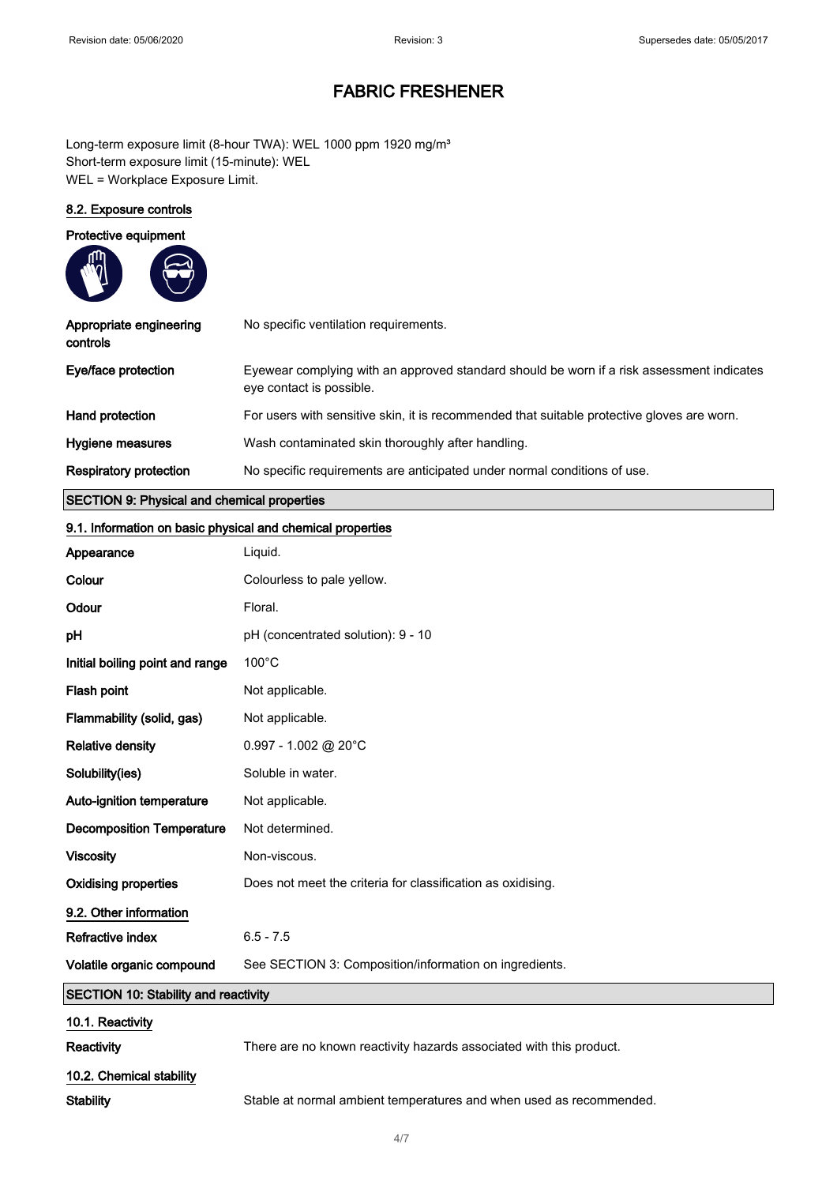Long-term exposure limit (8-hour TWA): WEL 1000 ppm 1920 mg/m<sup>3</sup> Short-term exposure limit (15-minute): WEL WEL = Workplace Exposure Limit.

#### 8.2. Exposure controls

| Protective equipment                        |                                                                                                                       |
|---------------------------------------------|-----------------------------------------------------------------------------------------------------------------------|
| Appropriate engineering<br>controls         | No specific ventilation requirements.                                                                                 |
| Eye/face protection                         | Eyewear complying with an approved standard should be worn if a risk assessment indicates<br>eye contact is possible. |
| Hand protection                             | For users with sensitive skin, it is recommended that suitable protective gloves are worn.                            |
| Hygiene measures                            | Wash contaminated skin thoroughly after handling.                                                                     |
| Respiratory protection                      | No specific requirements are anticipated under normal conditions of use.                                              |
| SECTION 9: Physical and chemical properties |                                                                                                                       |

#### SECTION 9: Physical and chemical properties

| 9.1. Information on basic physical and chemical properties |                                                                     |  |
|------------------------------------------------------------|---------------------------------------------------------------------|--|
| Appearance                                                 | Liquid.                                                             |  |
| Colour                                                     | Colourless to pale yellow.                                          |  |
| Odour                                                      | Floral.                                                             |  |
| рH                                                         | pH (concentrated solution): 9 - 10                                  |  |
| Initial boiling point and range                            | $100^{\circ}$ C                                                     |  |
| Flash point                                                | Not applicable.                                                     |  |
| Flammability (solid, gas)                                  | Not applicable.                                                     |  |
| <b>Relative density</b>                                    | $0.997 - 1.002$ @ 20°C                                              |  |
| Solubility(ies)                                            | Soluble in water.                                                   |  |
| Auto-ignition temperature                                  | Not applicable.                                                     |  |
| <b>Decomposition Temperature</b>                           | Not determined.                                                     |  |
| <b>Viscosity</b>                                           | Non-viscous.                                                        |  |
| <b>Oxidising properties</b>                                | Does not meet the criteria for classification as oxidising.         |  |
| 9.2. Other information                                     |                                                                     |  |
| Refractive index                                           | $6.5 - 7.5$                                                         |  |
| Volatile organic compound                                  | See SECTION 3: Composition/information on ingredients.              |  |
| <b>SECTION 10: Stability and reactivity</b>                |                                                                     |  |
| 10.1. Reactivity                                           |                                                                     |  |
| Reactivity                                                 | There are no known reactivity hazards associated with this product. |  |
| 10.2. Chemical stability                                   |                                                                     |  |
| <b>Stability</b>                                           | Stable at normal ambient temperatures and when used as recommended. |  |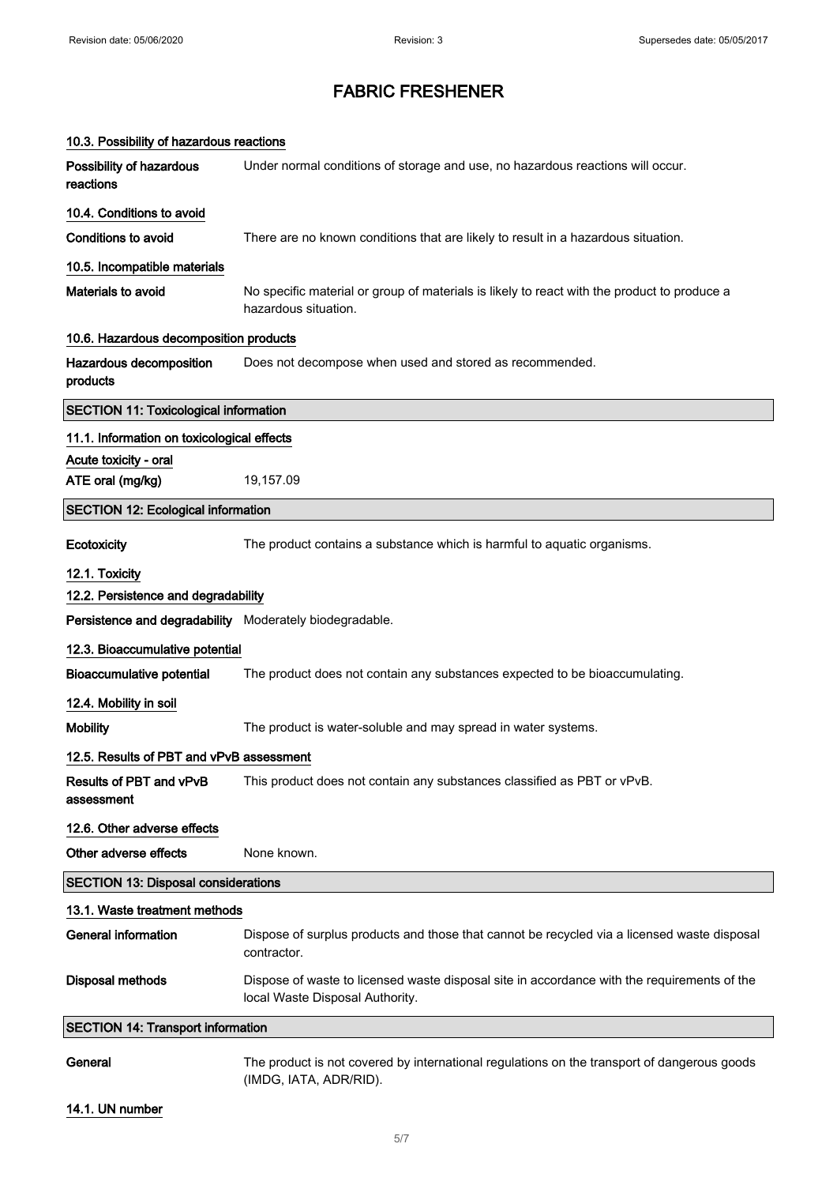| 10.3. Possibility of hazardous reactions                |                                                                                                                                |  |
|---------------------------------------------------------|--------------------------------------------------------------------------------------------------------------------------------|--|
| Possibility of hazardous<br>reactions                   | Under normal conditions of storage and use, no hazardous reactions will occur.                                                 |  |
| 10.4. Conditions to avoid                               |                                                                                                                                |  |
| <b>Conditions to avoid</b>                              | There are no known conditions that are likely to result in a hazardous situation.                                              |  |
| 10.5. Incompatible materials                            |                                                                                                                                |  |
| Materials to avoid                                      | No specific material or group of materials is likely to react with the product to produce a<br>hazardous situation.            |  |
| 10.6. Hazardous decomposition products                  |                                                                                                                                |  |
| Hazardous decomposition<br>products                     | Does not decompose when used and stored as recommended.                                                                        |  |
| <b>SECTION 11: Toxicological information</b>            |                                                                                                                                |  |
| 11.1. Information on toxicological effects              |                                                                                                                                |  |
| Acute toxicity - oral                                   |                                                                                                                                |  |
| ATE oral (mg/kg)                                        | 19,157.09                                                                                                                      |  |
| <b>SECTION 12: Ecological information</b>               |                                                                                                                                |  |
| <b>Ecotoxicity</b>                                      | The product contains a substance which is harmful to aquatic organisms.                                                        |  |
| 12.1. Toxicity                                          |                                                                                                                                |  |
| 12.2. Persistence and degradability                     |                                                                                                                                |  |
| Persistence and degradability Moderately biodegradable. |                                                                                                                                |  |
| 12.3. Bioaccumulative potential                         |                                                                                                                                |  |
| <b>Bioaccumulative potential</b>                        | The product does not contain any substances expected to be bioaccumulating.                                                    |  |
| 12.4. Mobility in soil                                  |                                                                                                                                |  |
| <b>Mobility</b>                                         | The product is water-soluble and may spread in water systems.                                                                  |  |
| 12.5. Results of PBT and vPvB assessment                |                                                                                                                                |  |
| Results of PBT and vPvB<br>assessment                   | This product does not contain any substances classified as PBT or vPvB.                                                        |  |
| 12.6. Other adverse effects                             |                                                                                                                                |  |
| Other adverse effects                                   | None known.                                                                                                                    |  |
| <b>SECTION 13: Disposal considerations</b>              |                                                                                                                                |  |
| 13.1. Waste treatment methods                           |                                                                                                                                |  |
| <b>General information</b>                              | Dispose of surplus products and those that cannot be recycled via a licensed waste disposal<br>contractor.                     |  |
| <b>Disposal methods</b>                                 | Dispose of waste to licensed waste disposal site in accordance with the requirements of the<br>local Waste Disposal Authority. |  |
| <b>SECTION 14: Transport information</b>                |                                                                                                                                |  |
| General                                                 | The product is not covered by international regulations on the transport of dangerous goods<br>(IMDG, IATA, ADR/RID).          |  |

#### 14.1. UN number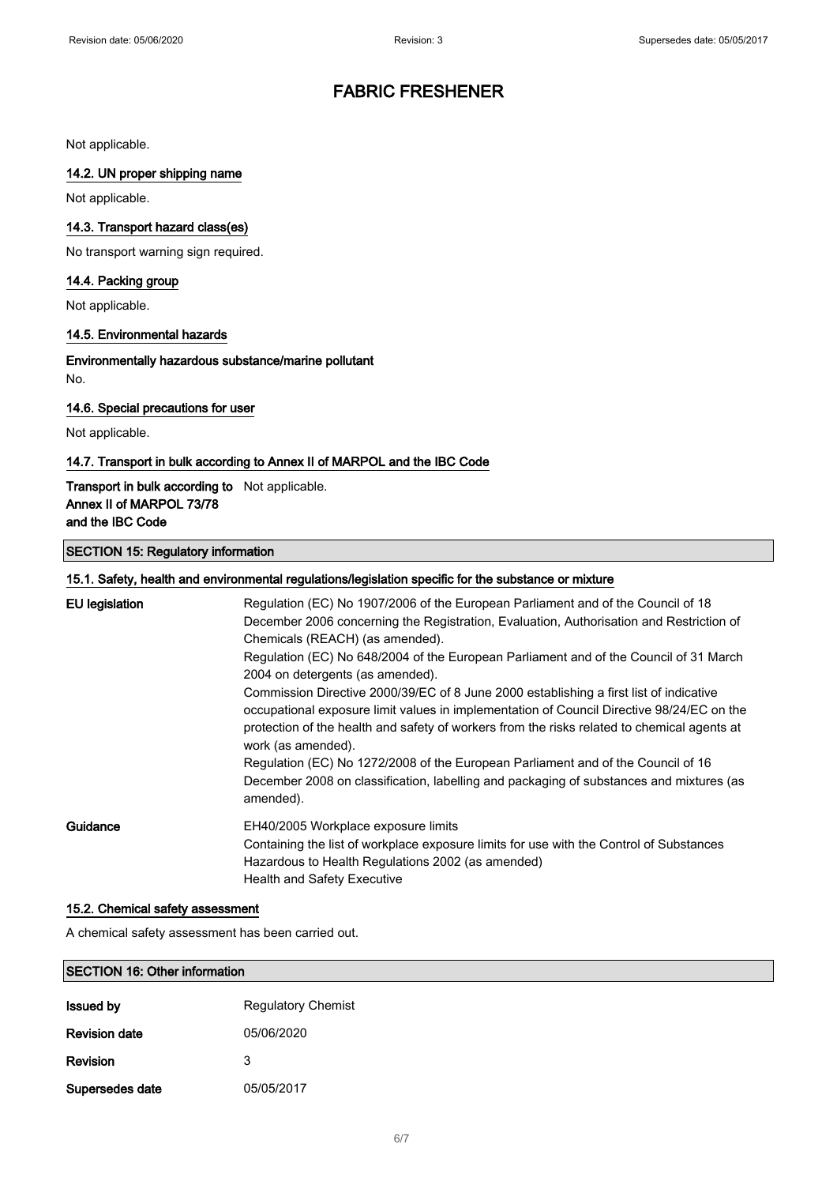Not applicable.

#### 14.2. UN proper shipping name

Not applicable.

#### 14.3. Transport hazard class(es)

No transport warning sign required.

#### 14.4. Packing group

Not applicable.

#### 14.5. Environmental hazards

Environmentally hazardous substance/marine pollutant No.

#### 14.6. Special precautions for user

Not applicable.

### 14.7. Transport in bulk according to Annex II of MARPOL and the IBC Code

#### Transport in bulk according to Not applicable. Annex II of MARPOL 73/78 and the IBC Code

#### SECTION 15: Regulatory information

| 15.1. Safety, health and environmental regulations/legislation specific for the substance or mixture |                                                                                                                                                                                                                                                                                                                                                                                                                                                                                                                                                                                                                                                                                                                                             |  |
|------------------------------------------------------------------------------------------------------|---------------------------------------------------------------------------------------------------------------------------------------------------------------------------------------------------------------------------------------------------------------------------------------------------------------------------------------------------------------------------------------------------------------------------------------------------------------------------------------------------------------------------------------------------------------------------------------------------------------------------------------------------------------------------------------------------------------------------------------------|--|
| <b>EU</b> legislation                                                                                | Regulation (EC) No 1907/2006 of the European Parliament and of the Council of 18<br>December 2006 concerning the Registration, Evaluation, Authorisation and Restriction of<br>Chemicals (REACH) (as amended).<br>Regulation (EC) No 648/2004 of the European Parliament and of the Council of 31 March<br>2004 on detergents (as amended).<br>Commission Directive 2000/39/EC of 8 June 2000 establishing a first list of indicative<br>occupational exposure limit values in implementation of Council Directive 98/24/EC on the<br>protection of the health and safety of workers from the risks related to chemical agents at<br>work (as amended).<br>Regulation (EC) No 1272/2008 of the European Parliament and of the Council of 16 |  |
| Guidance                                                                                             | December 2008 on classification, labelling and packaging of substances and mixtures (as<br>amended).<br>EH40/2005 Workplace exposure limits<br>Containing the list of workplace exposure limits for use with the Control of Substances<br>Hazardous to Health Regulations 2002 (as amended)<br><b>Health and Safety Executive</b>                                                                                                                                                                                                                                                                                                                                                                                                           |  |

#### 15.2. Chemical safety assessment

A chemical safety assessment has been carried out.

#### SECTION 16: Other information

| <b>Issued by</b>     | <b>Regulatory Chemist</b> |
|----------------------|---------------------------|
| <b>Revision date</b> | 05/06/2020                |
| Revision             | 3                         |
| Supersedes date      | 05/05/2017                |